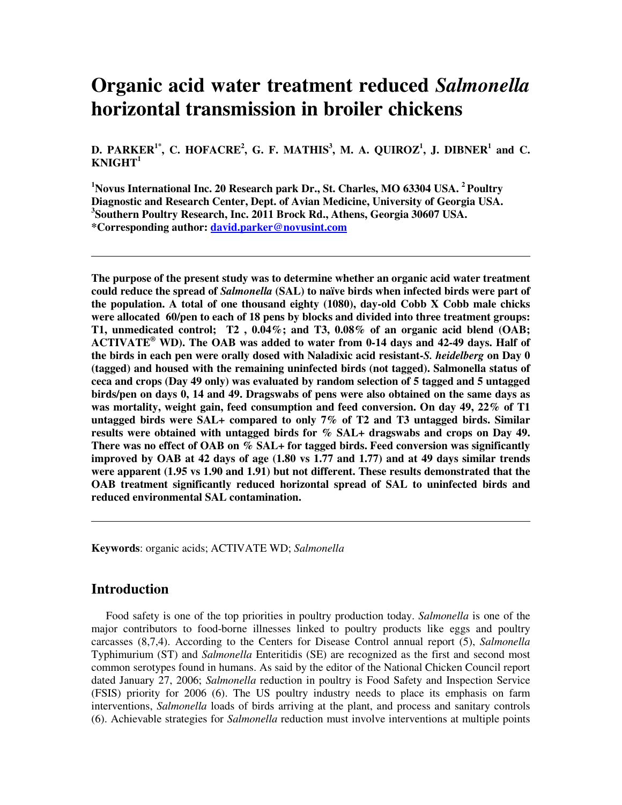# **Organic acid water treatment reduced** *Salmonella* **horizontal transmission in broiler chickens**

D. PARKER<sup>1\*</sup>, C. HOFACRE<sup>2</sup>, G. F. MATHIS<sup>3</sup>, M. A. QUIROZ<sup>1</sup>, J. DIBNER<sup>1</sup> and C. **KNIGHT 1**

**<sup>1</sup>Novus International Inc. 20 Research park Dr., St. Charles, MO 63304 USA. <sup>2</sup> Poultry Diagnostic and Research Center, Dept. of Avian Medicine, University of Georgia USA. 3 Southern Poultry Research, Inc. 2011 Brock Rd., Athens, Georgia 30607 USA. \*Corresponding author: david.parker@novusint.com**

**The purpose of the present study was to determine whether an organic acid water treatment could reduce the spread of** *Salmonella* **(SAL) to naïve birds when infected birds were part of the population. A total of one thousand eighty (1080), day-old Cobb X Cobb male chicks were allocated 60/pen to each of 18 pens by blocks and divided into three treatment groups: T1, unmedicated control; T2 , 0.04%; and T3, 0.08% of an organic acid blend (OAB; ACTIVATE ® WD). The OAB was added to water from 0-14 days and 42-49 days. Half of the birds in each pen were orally dosed with Naladixic acid resistant-***S. heidelberg* **on Day 0 (tagged) and housed with the remaining uninfected birds (not tagged). Salmonella status of ceca and crops (Day 49 only) was evaluated by random selection of 5 tagged and 5 untagged birds/pen on days 0, 14 and 49. Dragswabs of pens were also obtained on the same days as was mortality, weight gain, feed consumption and feed conversion. On day 49, 22% of T1 untagged birds were SAL+ compared to only 7% of T2 and T3 untagged birds. Similar results were obtained with untagged birds for % SAL+ dragswabs and crops on Day 49. There was no effect of OAB on % SAL+ for tagged birds. Feed conversion was significantly improved by OAB at 42 days of age (1.80 vs 1.77 and 1.77) and at 49 days similar trends were apparent (1.95 vs 1.90 and 1.91) but not different. These results demonstrated that the OAB treatment significantly reduced horizontal spread of SAL to uninfected birds and reduced environmental SAL contamination.**

**Keywords**: organic acids; ACTIVATE WD; *Salmonella*

## **Introduction**

Food safety is one of the top priorities in poultry production today. *Salmonella* is one of the major contributors to food-borne illnesses linked to poultry products like eggs and poultry carcasses (8,7,4). According to the Centers for Disease Control annual report (5), *Salmonella* Typhimurium (ST) and *Salmonella* Enteritidis (SE) are recognized as the first and second most common serotypes found in humans. As said by the editor of the National Chicken Council report dated January 27, 2006; *Salmonella* reduction in poultry is Food Safety and Inspection Service (FSIS) priority for 2006 (6). The US poultry industry needs to place its emphasis on farm interventions, *Salmonella* loads of birds arriving at the plant, and process and sanitary controls (6). Achievable strategies for *Salmonella* reduction must involve interventions at multiple points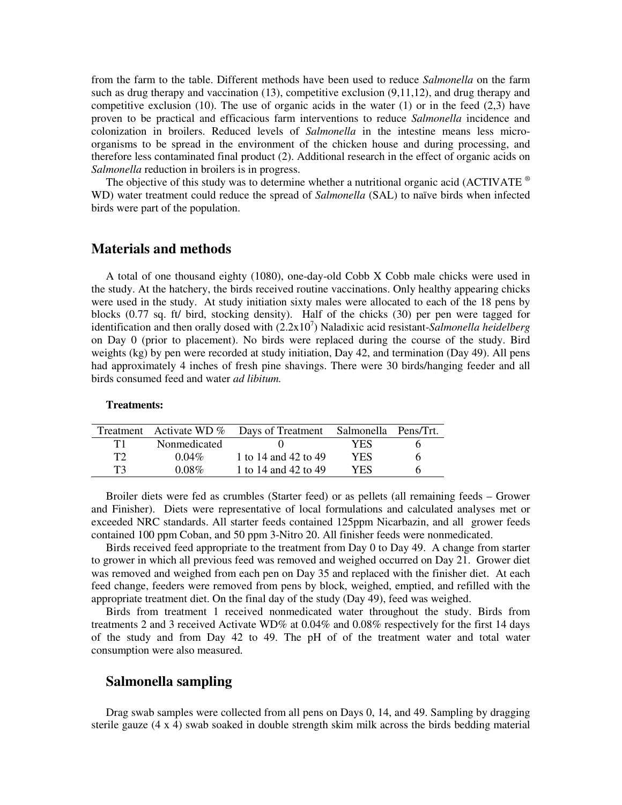from the farm to the table. Different methods have been used to reduce *Salmonella* on the farm such as drug therapy and vaccination (13), competitive exclusion (9,11,12), and drug therapy and competitive exclusion (10). The use of organic acids in the water (1) or in the feed  $(2,3)$  have proven to be practical and efficacious farm interventions to reduce *Salmonella* incidence and colonization in broilers. Reduced levels of *Salmonella* in the intestine means less microorganisms to be spread in the environment of the chicken house and during processing, and therefore less contaminated final product (2). Additional research in the effect of organic acids on *Salmonella* reduction in broilers is in progress.

The objective of this study was to determine whether a nutritional organic acid (ACTIVATE ® WD) water treatment could reduce the spread of *Salmonella* (SAL) to naïve birds when infected birds were part of the population.

## **Materials and methods**

A total of one thousand eighty (1080), one-day-old Cobb X Cobb male chicks were used in the study. At the hatchery, the birds received routine vaccinations. Only healthy appearing chicks were used in the study. At study initiation sixty males were allocated to each of the 18 pens by blocks (0.77 sq. ft/ bird, stocking density). Half of the chicks (30) per pen were tagged for identification and then orally dosed with (2.2x10 7 ) Naladixic acid resistant-*Salmonella heidelberg* on Day 0 (prior to placement). No birds were replaced during the course of the study. Bird weights (kg) by pen were recorded at study initiation, Day 42, and termination (Day 49). All pens had approximately 4 inches of fresh pine shavings. There were 30 birds/hanging feeder and all birds consumed feed and water *ad libitum.*

#### **Treatments:**

|    |              | Treatment Activate WD % Days of Treatment Salmonella Pens/Trt. |     |   |
|----|--------------|----------------------------------------------------------------|-----|---|
|    | Nonmedicated |                                                                | YES |   |
| ፐን | $0.04\%$     | 1 to 14 and 42 to 49                                           | YES | h |
| T3 | $0.08\%$     | 1 to 14 and 42 to 49                                           | YES |   |

Broiler diets were fed as crumbles (Starter feed) or as pellets (all remaining feeds – Grower and Finisher). Diets were representative of local formulations and calculated analyses met or exceeded NRC standards. All starter feeds contained 125ppm Nicarbazin, and all grower feeds contained 100 ppm Coban, and 50 ppm 3-Nitro 20. All finisher feeds were nonmedicated.

Birds received feed appropriate to the treatment from Day 0 to Day 49. A change from starter to grower in which all previous feed was removed and weighed occurred on Day 21. Grower diet was removed and weighed from each pen on Day 35 and replaced with the finisher diet. At each feed change, feeders were removed from pens by block, weighed, emptied, and refilled with the appropriate treatment diet. On the final day of the study (Day 49), feed was weighed.

Birds from treatment 1 received nonmedicated water throughout the study. Birds from treatments 2 and 3 received Activate WD% at 0.04% and 0.08% respectively for the first 14 days of the study and from Day 42 to 49. The pH of of the treatment water and total water consumption were also measured.

#### **Salmonella sampling**

Drag swab samples were collected from all pens on Days 0, 14, and 49. Sampling by dragging sterile gauze (4 x 4) swab soaked in double strength skim milk across the birds bedding material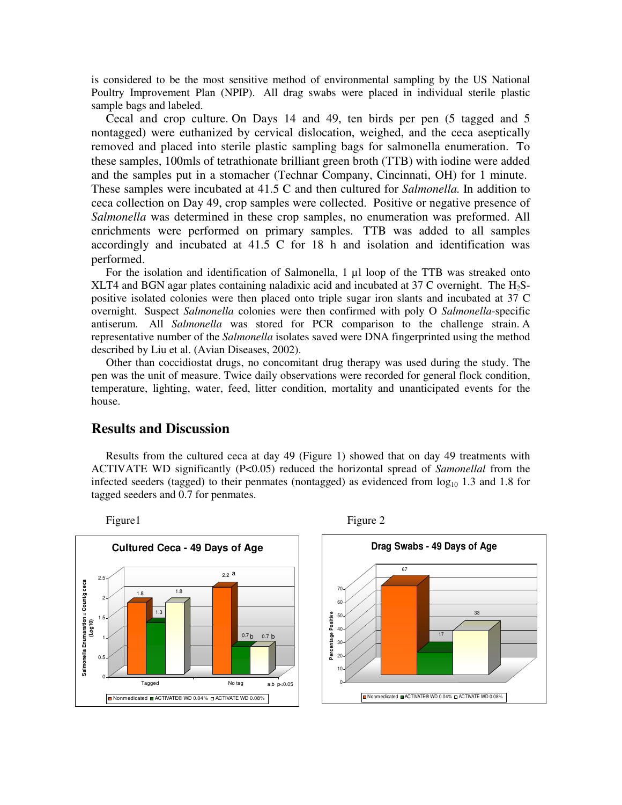is considered to be the most sensitive method of environmental sampling by the US National Poultry Improvement Plan (NPIP). All drag swabs were placed in individual sterile plastic sample bags and labeled.

Cecal and crop culture. On Days 14 and 49, ten birds per pen (5 tagged and 5 nontagged) were euthanized by cervical dislocation, weighed, and the ceca aseptically removed and placed into sterile plastic sampling bags for salmonella enumeration. To these samples, 100mls of tetrathionate brilliant green broth (TTB) with iodine were added and the samples put in a stomacher (Technar Company, Cincinnati, OH) for 1 minute. These samples were incubated at 41.5 C and then cultured for *Salmonella.* In addition to ceca collection on Day 49, crop samples were collected. Positive or negative presence of *Salmonella* was determined in these crop samples, no enumeration was preformed. All enrichments were performed on primary samples. TTB was added to all samples accordingly and incubated at 41.5 C for 18 h and isolation and identification was performed.

For the isolation and identification of Salmonella, 1 µl loop of the TTB was streaked onto XLT4 and BGN agar plates containing naladixic acid and incubated at 37 C overnight. The  $H_2S$ positive isolated colonies were then placed onto triple sugar iron slants and incubated at 37 C overnight. Suspect *Salmonella* colonies were then confirmed with poly O *Salmonella*-specific antiserum. All *Salmonella* was stored for PCR comparison to the challenge strain. A representative number of the *Salmonella* isolates saved were DNA fingerprinted using the method described by Liu et al. (Avian Diseases, 2002).

Other than coccidiostat drugs, no concomitant drug therapy was used during the study. The pen was the unit of measure. Twice daily observations were recorded for general flock condition, temperature, lighting, water, feed, litter condition, mortality and unanticipated events for the house.

#### **Results and Discussion**

Results from the cultured ceca at day 49 (Figure 1) showed that on day 49 treatments with ACTIVATE WD significantly (P<0.05) reduced the horizontal spread of *Samonellal* from the infected seeders (tagged) to their penmates (nontagged) as evidenced from  $log_{10} 1.3$  and 1.8 for tagged seeders and 0.7 for penmates.

**Cultured Ceca - 49 Days of Age** 2.2 a 2.5 **Salmonella Enumaration = Count/g ceca** Salmonella Enumaration = Count/g ceca 70 1.8 1.8 2 60 1.3 Percentage Positive **Percentage Positive** 50 **(Log10)** 1.5 40  $0.7<sub>b</sub>$  $0.7 h$ 1 30 20 0.5 10 0 Tagged No tag a,b p<0.05 0 ■ Nonmedicated ■ ACTIVATE® WD 0.04% □ ACTIVATE WD 0.08%



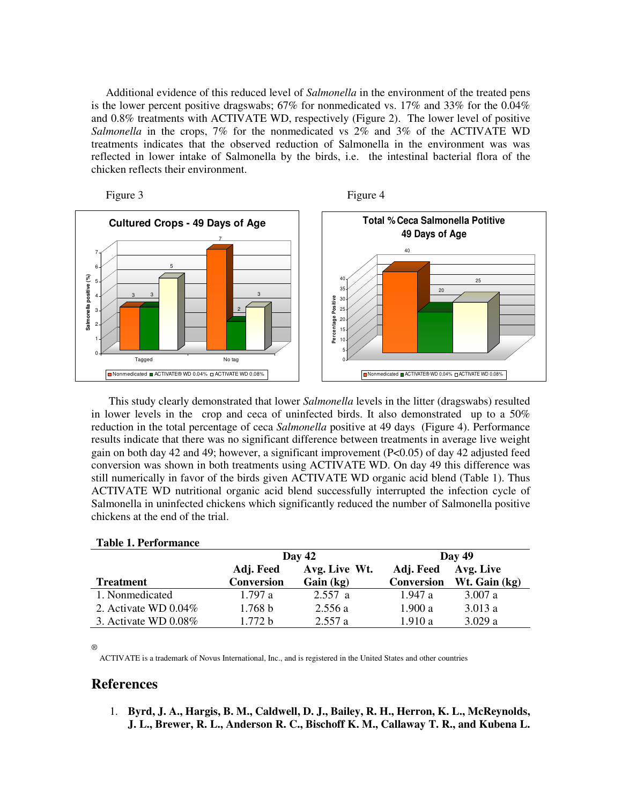Additional evidence of this reduced level of *Salmonella* in the environment of the treated pens is the lower percent positive dragswabs; 67% for nonmedicated vs. 17% and 33% for the 0.04% and 0.8% treatments with ACTIVATE WD, respectively (Figure 2). The lower level of positive *Salmonella* in the crops, 7% for the nonmedicated vs 2% and 3% of the ACTIVATE WD treatments indicates that the observed reduction of Salmonella in the environment was was reflected in lower intake of Salmonella by the birds, i.e. the intestinal bacterial flora of the chicken reflects their environment.





This study clearly demonstrated that lower *Salmonella* levels in the litter (dragswabs) resulted in lower levels in the crop and ceca of uninfected birds. It also demonstrated up to a 50% reduction in the total percentage of ceca *Salmonella* positive at 49 days (Figure 4). Performance results indicate that there was no significant difference between treatments in average live weight gain on both day 42 and 49; however, a significant improvement (P<0.05) of day 42 adjusted feed conversion was shown in both treatments using ACTIVATE WD. On day 49 this difference was still numerically in favor of the birds given ACTIVATE WD organic acid blend (Table 1). Thus ACTIVATE WD nutritional organic acid blend successfully interrupted the infection cycle of Salmonella in uninfected chickens which significantly reduced the number of Salmonella positive chickens at the end of the trial.

| Taon II chominance      |                    |               |                   |               |
|-------------------------|--------------------|---------------|-------------------|---------------|
|                         | Day $42$           |               | Day $49$          |               |
|                         | Adj. Feed          | Avg. Live Wt. | Adj. Feed         | Avg. Live     |
| <b>Treatment</b>        | <b>Conversion</b>  | Gain (kg)     | <b>Conversion</b> | Wt. Gain (kg) |
| 1. Nonmedicated         | 1.797a             | 2.557a        | 1.947 a           | 3.007 a       |
| 2. Activate WD $0.04\%$ | 1.768 b            | 2.556a        | 1.900 a           | 3.013a        |
| 3. Activate WD $0.08\%$ | 1.772 <sub>b</sub> | 2.557a        | 1.910a            | 3.029a        |

#### **Table 1. Performance**

®

ACTIVATE is a trademark of Novus International, Inc., and is registered in the United States and other countries

## **References**

1. **Byrd, J. A., Hargis, B. M., Caldwell, D. J., Bailey, R. H., Herron, K. L., McReynolds, J. L., Brewer, R. L., Anderson R. C., Bischoff K. M., Callaway T. R., and Kubena L.**